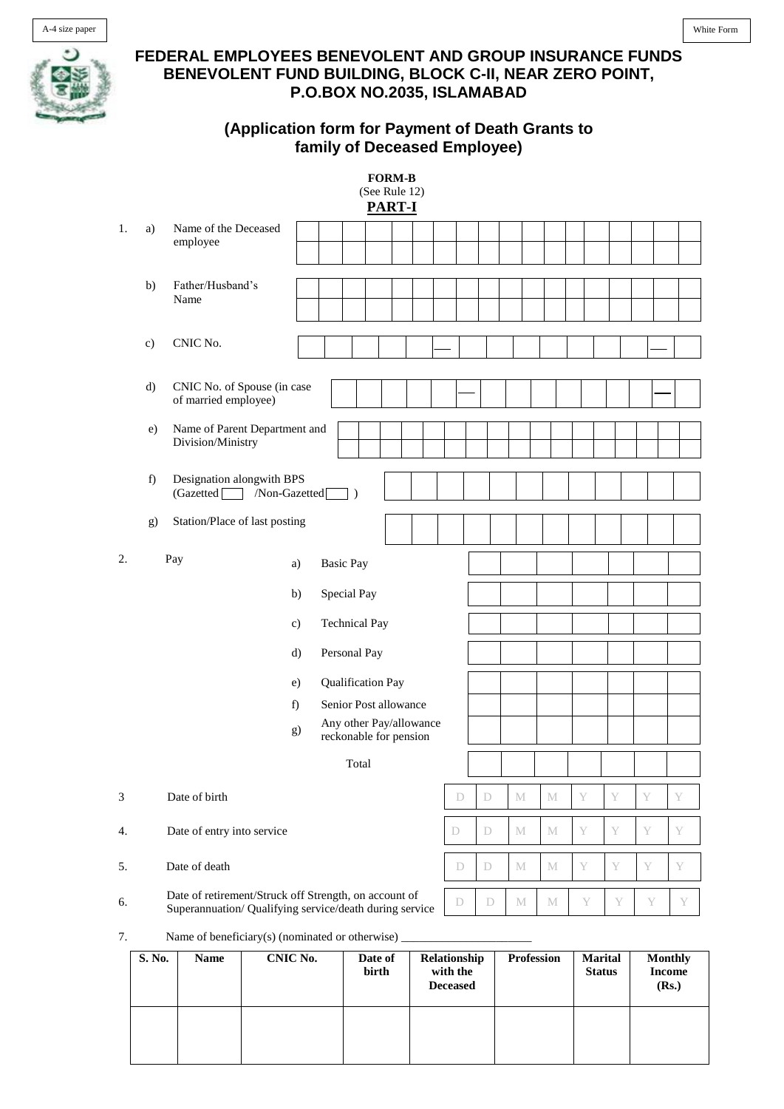

## **FEDERAL EMPLOYEES BENEVOLENT AND GROUP INSURANCE FUNDS BENEVOLENT FUND BUILDING, BLOCK C-II, NEAR ZERO POINT, P.O.BOX NO.2035, ISLAMABAD**

## **(Application form for Payment of Death Grants to family of Deceased Employee)**

| <b>FORM-B</b><br>(See Rule 12)<br><b>PART-I</b> |               |                                                                                                                  |                       |                  |  |  |  |   |   |   |              |   |   |   |   |
|-------------------------------------------------|---------------|------------------------------------------------------------------------------------------------------------------|-----------------------|------------------|--|--|--|---|---|---|--------------|---|---|---|---|
| 1.                                              | a)            | Name of the Deceased<br>employee                                                                                 |                       |                  |  |  |  |   |   |   |              |   |   |   |   |
|                                                 | b)            | Father/Husband's<br>Name                                                                                         |                       |                  |  |  |  |   |   |   |              |   |   |   |   |
|                                                 | $\mathbf{c})$ | CNIC No.                                                                                                         |                       |                  |  |  |  |   |   |   |              |   |   |   |   |
|                                                 | $\rm d$       | CNIC No. of Spouse (in case<br>of married employee)                                                              |                       |                  |  |  |  |   |   |   |              |   |   |   |   |
|                                                 | e)            | Name of Parent Department and<br>Division/Ministry                                                               |                       |                  |  |  |  |   |   |   |              |   |   |   |   |
|                                                 | f)            | Designation alongwith BPS<br>/Non-Gazetted<br>(Gazetted)<br>$\vert$ )                                            |                       |                  |  |  |  |   |   |   |              |   |   |   |   |
|                                                 | g)            | Station/Place of last posting                                                                                    |                       |                  |  |  |  |   |   |   |              |   |   |   |   |
| 2.                                              |               | Pay                                                                                                              | a)                    | <b>Basic Pay</b> |  |  |  |   |   |   |              |   |   |   |   |
|                                                 |               | Special Pay<br>b)                                                                                                |                       |                  |  |  |  |   |   |   |              |   |   |   |   |
|                                                 |               | <b>Technical Pay</b><br>c)                                                                                       |                       |                  |  |  |  |   |   |   |              |   |   |   |   |
|                                                 |               | Personal Pay<br>d)                                                                                               |                       |                  |  |  |  |   |   |   |              |   |   |   |   |
|                                                 |               |                                                                                                                  |                       |                  |  |  |  |   |   |   |              |   |   |   |   |
|                                                 |               |                                                                                                                  | Senior Post allowance |                  |  |  |  |   |   |   |              |   |   |   |   |
|                                                 |               | Any other Pay/allowance<br>g)<br>reckonable for pension                                                          |                       |                  |  |  |  |   |   |   |              |   |   |   |   |
| Total                                           |               |                                                                                                                  |                       |                  |  |  |  |   |   |   |              |   |   |   |   |
| 3                                               |               | Date of birth                                                                                                    |                       |                  |  |  |  | D | D | M | M            | Y | Y | Y | Y |
| 4.                                              |               | Date of entry into service                                                                                       |                       |                  |  |  |  | D | D | M | $\mathbf{M}$ | Y | Y | Y | Y |
| 5.                                              |               | Date of death                                                                                                    |                       |                  |  |  |  | D | D | M | M            | Y | Y | Y | Y |
| б.                                              |               | Date of retirement/Struck off Strength, on account of<br>Superannuation/ Qualifying service/death during service |                       |                  |  |  |  | D | D | M | $\mathbf M$  | Y | Y | Y | Y |

7. Name of beneficiary(s) (nominated or otherwise)  $\overline{\phantom{a}}$ 

| S. No. | <b>Name</b> | <b>CNIC No.</b> | Date of<br>birth | Relationship<br>with the<br><b>Deceased</b> | <b>Profession</b> | <b>Marital</b><br><b>Status</b> | <b>Monthly</b><br><b>Income</b><br>(Rs.) |
|--------|-------------|-----------------|------------------|---------------------------------------------|-------------------|---------------------------------|------------------------------------------|
|        |             |                 |                  |                                             |                   |                                 |                                          |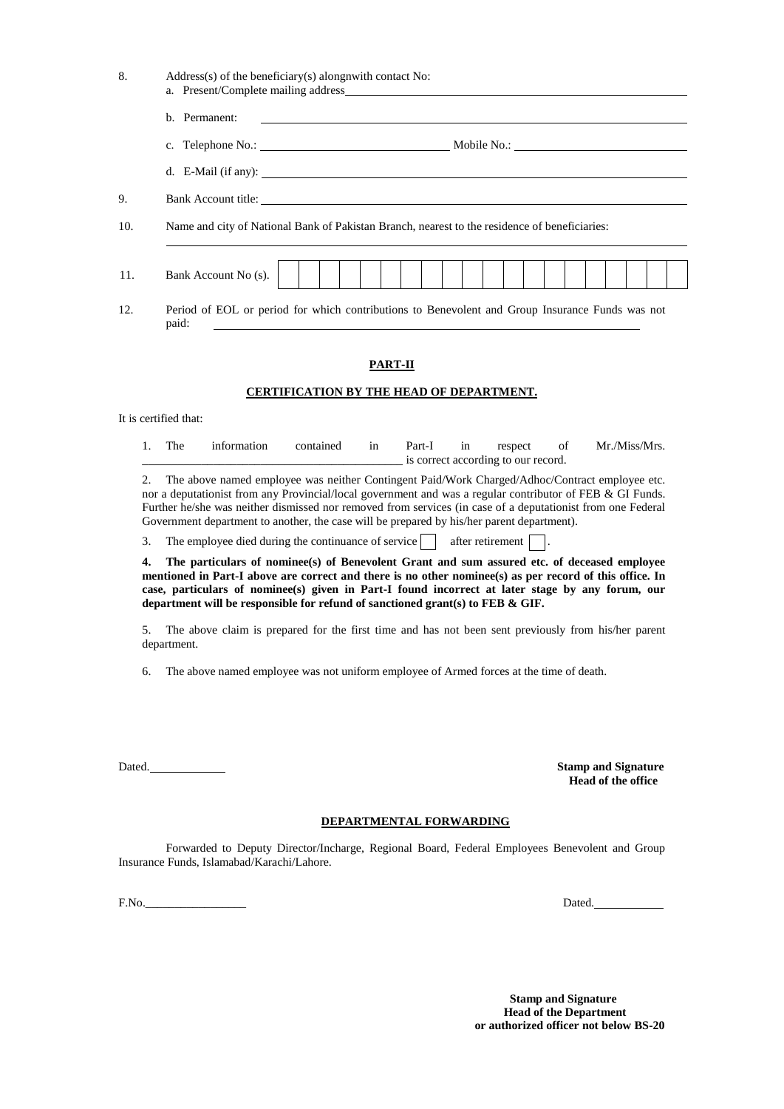| 8.  | Address(s) of the beneficiary(s) along nwith contact No:<br>a. Present/Complete mailing address                                                                                                                                                                                                                                                                                                                                                                                                                 |                                                 |                         |    |         |                                               |  |    |                  |         |  |                            |                           |  |               |  |  |  |
|-----|-----------------------------------------------------------------------------------------------------------------------------------------------------------------------------------------------------------------------------------------------------------------------------------------------------------------------------------------------------------------------------------------------------------------------------------------------------------------------------------------------------------------|-------------------------------------------------|-------------------------|----|---------|-----------------------------------------------|--|----|------------------|---------|--|----------------------------|---------------------------|--|---------------|--|--|--|
|     | b. Permanent:                                                                                                                                                                                                                                                                                                                                                                                                                                                                                                   |                                                 |                         |    |         |                                               |  |    |                  |         |  |                            |                           |  |               |  |  |  |
|     |                                                                                                                                                                                                                                                                                                                                                                                                                                                                                                                 |                                                 |                         |    |         |                                               |  |    |                  |         |  |                            |                           |  |               |  |  |  |
|     |                                                                                                                                                                                                                                                                                                                                                                                                                                                                                                                 |                                                 |                         |    |         |                                               |  |    |                  |         |  |                            |                           |  |               |  |  |  |
| 9.  | Bank Account title:                                                                                                                                                                                                                                                                                                                                                                                                                                                                                             |                                                 |                         |    |         |                                               |  |    |                  |         |  |                            |                           |  |               |  |  |  |
| 10. | Name and city of National Bank of Pakistan Branch, nearest to the residence of beneficiaries:                                                                                                                                                                                                                                                                                                                                                                                                                   |                                                 |                         |    |         |                                               |  |    |                  |         |  |                            |                           |  |               |  |  |  |
| 11. | Bank Account No (s).                                                                                                                                                                                                                                                                                                                                                                                                                                                                                            |                                                 |                         |    |         |                                               |  |    |                  |         |  |                            |                           |  |               |  |  |  |
| 12. | Period of EOL or period for which contributions to Benevolent and Group Insurance Funds was not<br>paid:                                                                                                                                                                                                                                                                                                                                                                                                        |                                                 |                         |    |         |                                               |  |    |                  |         |  |                            |                           |  |               |  |  |  |
|     |                                                                                                                                                                                                                                                                                                                                                                                                                                                                                                                 |                                                 |                         |    | PART-II |                                               |  |    |                  |         |  |                            |                           |  |               |  |  |  |
|     |                                                                                                                                                                                                                                                                                                                                                                                                                                                                                                                 | <b>CERTIFICATION BY THE HEAD OF DEPARTMENT.</b> |                         |    |         |                                               |  |    |                  |         |  |                            |                           |  |               |  |  |  |
|     | It is certified that:                                                                                                                                                                                                                                                                                                                                                                                                                                                                                           |                                                 |                         |    |         |                                               |  |    |                  |         |  |                            |                           |  |               |  |  |  |
|     | The<br>1.<br>information                                                                                                                                                                                                                                                                                                                                                                                                                                                                                        |                                                 | contained               | in |         | Part-I<br>is correct according to our record. |  | in |                  | respect |  | of                         |                           |  | Mr./Miss/Mrs. |  |  |  |
|     | The above named employee was neither Contingent Paid/Work Charged/Adhoc/Contract employee etc.<br>2.<br>nor a deputationist from any Provincial/local government and was a regular contributor of FEB & GI Funds.<br>Further he/she was neither dismissed nor removed from services (in case of a deputationist from one Federal<br>Government department to another, the case will be prepared by his/her parent department).                                                                                  |                                                 |                         |    |         |                                               |  |    |                  |         |  |                            |                           |  |               |  |  |  |
|     | The employee died during the continuance of service<br>3.                                                                                                                                                                                                                                                                                                                                                                                                                                                       |                                                 |                         |    |         |                                               |  |    | after retirement |         |  |                            |                           |  |               |  |  |  |
|     | 4.<br>The particulars of nominee(s) of Benevolent Grant and sum assured etc. of deceased employee<br>mentioned in Part-I above are correct and there is no other nominee(s) as per record of this office. In<br>case, particulars of nominee(s) given in Part-I found incorrect at later stage by any forum, our<br>department will be responsible for refund of sanctioned grant(s) to FEB & GIF.<br>The above claim is prepared for the first time and has not been sent previously from his/her parent<br>5. |                                                 |                         |    |         |                                               |  |    |                  |         |  |                            |                           |  |               |  |  |  |
|     | department.<br>The above named employee was not uniform employee of Armed forces at the time of death.<br>6.                                                                                                                                                                                                                                                                                                                                                                                                    |                                                 |                         |    |         |                                               |  |    |                  |         |  |                            |                           |  |               |  |  |  |
|     |                                                                                                                                                                                                                                                                                                                                                                                                                                                                                                                 |                                                 |                         |    |         |                                               |  |    |                  |         |  |                            |                           |  |               |  |  |  |
|     | Dated.                                                                                                                                                                                                                                                                                                                                                                                                                                                                                                          |                                                 |                         |    |         |                                               |  |    |                  |         |  | <b>Stamp and Signature</b> | <b>Head of the office</b> |  |               |  |  |  |
|     |                                                                                                                                                                                                                                                                                                                                                                                                                                                                                                                 |                                                 | DEPARTMENTAL FORWARDING |    |         |                                               |  |    |                  |         |  |                            |                           |  |               |  |  |  |
|     | Forwarded to Deputy Director/Incharge, Regional Board, Federal Employees Benevolent and Group<br>Insurance Funds, Islamabad/Karachi/Lahore.                                                                                                                                                                                                                                                                                                                                                                     |                                                 |                         |    |         |                                               |  |    |                  |         |  |                            |                           |  |               |  |  |  |

F.No.\_\_\_\_\_\_\_\_\_\_\_\_\_\_\_\_\_ Dated.

 **Stamp and Signature Head of the Department or authorized officer not below BS-20**